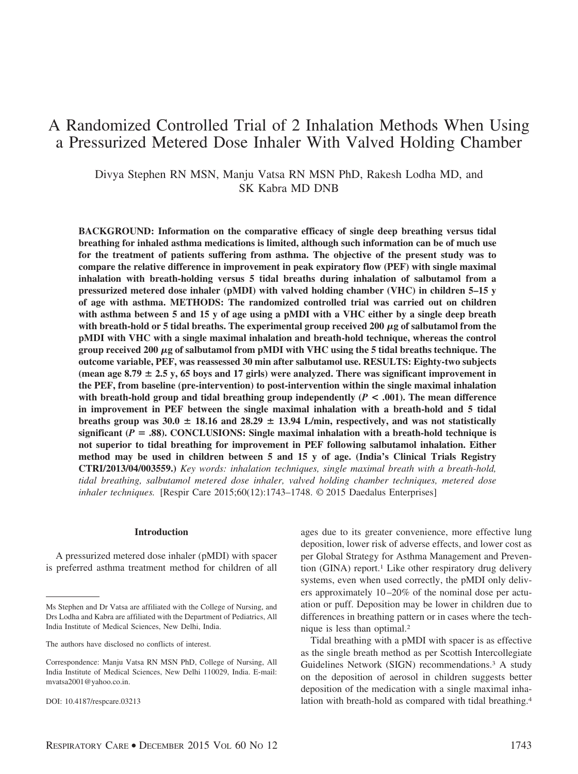# A Randomized Controlled Trial of 2 Inhalation Methods When Using a Pressurized Metered Dose Inhaler With Valved Holding Chamber

Divya Stephen RN MSN, Manju Vatsa RN MSN PhD, Rakesh Lodha MD, and SK Kabra MD DNB

**BACKGROUND: Information on the comparative efficacy of single deep breathing versus tidal breathing for inhaled asthma medications is limited, although such information can be of much use for the treatment of patients suffering from asthma. The objective of the present study was to compare the relative difference in improvement in peak expiratory flow (PEF) with single maximal inhalation with breath-holding versus 5 tidal breaths during inhalation of salbutamol from a pressurized metered dose inhaler (pMDI) with valved holding chamber (VHC) in children 5–15 y of age with asthma. METHODS: The randomized controlled trial was carried out on children with asthma between 5 and 15 y of age using a pMDI with a VHC either by a single deep breath** with breath-hold or 5 tidal breaths. The experimental group received 200  $\mu$ g of salbutamol from the **pMDI with VHC with a single maximal inhalation and breath-hold technique, whereas the control** group received 200 μg of salbutamol from pMDI with VHC using the 5 tidal breaths technique. The **outcome variable, PEF, was reassessed 30 min after salbutamol use. RESULTS: Eighty-two subjects** (mean age  $8.79 \pm 2.5$  y, 65 boys and 17 girls) were analyzed. There was significant improvement in **the PEF, from baseline (pre-intervention) to post-intervention within the single maximal inhalation** with breath-hold group and tidal breathing group independently  $(P < .001)$ . The mean difference **in improvement in PEF between the single maximal inhalation with a breath-hold and 5 tidal breaths group was 30.0**  $\pm$  18.16 and 28.29  $\pm$  13.94 L/min, respectively, and was not statistically significant ( $P = .88$ ). CONCLUSIONS: Single maximal inhalation with a breath-hold technique is **not superior to tidal breathing for improvement in PEF following salbutamol inhalation. Either method may be used in children between 5 and 15 y of age. (India's Clinical Trials Registry CTRI/2013/04/003559.)** *Key words: inhalation techniques, single maximal breath with a breath-hold, tidal breathing, salbutamol metered dose inhaler, valved holding chamber techniques, metered dose inhaler techniques.* [Respir Care 2015;60(12):1743–1748. © 2015 Daedalus Enterprises]

# **Introduction**

A pressurized metered dose inhaler (pMDI) with spacer is preferred asthma treatment method for children of all

ages due to its greater convenience, more effective lung deposition, lower risk of adverse effects, and lower cost as per Global Strategy for Asthma Management and Prevention (GINA) report.<sup>1</sup> Like other respiratory drug delivery systems, even when used correctly, the pMDI only delivers approximately 10 –20% of the nominal dose per actuation or puff. Deposition may be lower in children due to differences in breathing pattern or in cases where the technique is less than optimal.2

Tidal breathing with a pMDI with spacer is as effective as the single breath method as per Scottish Intercollegiate Guidelines Network (SIGN) recommendations.3 A study on the deposition of aerosol in children suggests better deposition of the medication with a single maximal inhalation with breath-hold as compared with tidal breathing.4

Ms Stephen and Dr Vatsa are affiliated with the College of Nursing, and Drs Lodha and Kabra are affiliated with the Department of Pediatrics, All India Institute of Medical Sciences, New Delhi, India.

The authors have disclosed no conflicts of interest.

Correspondence: Manju Vatsa RN MSN PhD, College of Nursing, All India Institute of Medical Sciences, New Delhi 110029, India. E-mail: mvatsa2001@yahoo.co.in.

DOI: 10.4187/respcare.03213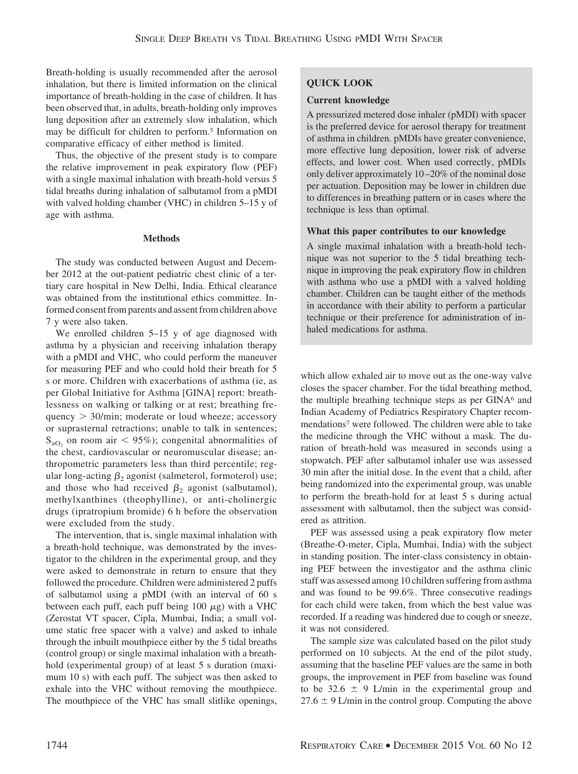Breath-holding is usually recommended after the aerosol inhalation, but there is limited information on the clinical importance of breath-holding in the case of children. It has been observed that, in adults, breath-holding only improves lung deposition after an extremely slow inhalation, which may be difficult for children to perform.5 Information on comparative efficacy of either method is limited.

Thus, the objective of the present study is to compare the relative improvement in peak expiratory flow (PEF) with a single maximal inhalation with breath-hold versus 5 tidal breaths during inhalation of salbutamol from a pMDI with valved holding chamber (VHC) in children 5–15 y of age with asthma.

# **Methods**

The study was conducted between August and December 2012 at the out-patient pediatric chest clinic of a tertiary care hospital in New Delhi, India. Ethical clearance was obtained from the institutional ethics committee. Informed consent from parents and assent from children above 7 y were also taken.

We enrolled children 5–15 y of age diagnosed with asthma by a physician and receiving inhalation therapy with a pMDI and VHC, who could perform the maneuver for measuring PEF and who could hold their breath for 5 s or more. Children with exacerbations of asthma (ie, as per Global Initiative for Asthma [GINA] report: breathlessness on walking or talking or at rest; breathing frequency - 30/min; moderate or loud wheeze; accessory or suprasternal retractions; unable to talk in sentences;  $S_{aO_2}$  on room air < 95%); congenital abnormalities of the chest, cardiovascular or neuromuscular disease; anthropometric parameters less than third percentile; regular long-acting  $\beta_2$  agonist (salmeterol, formoterol) use; and those who had received  $\beta_2$  agonist (salbutamol), methylxanthines (theophylline), or anti-cholinergic drugs (ipratropium bromide) 6 h before the observation were excluded from the study.

The intervention, that is, single maximal inhalation with a breath-hold technique, was demonstrated by the investigator to the children in the experimental group, and they were asked to demonstrate in return to ensure that they followed the procedure. Children were administered 2 puffs of salbutamol using a pMDI (with an interval of 60 s between each puff, each puff being 100  $\mu$ g) with a VHC (Zerostat VT spacer, Cipla, Mumbai, India; a small volume static free spacer with a valve) and asked to inhale through the inbuilt mouthpiece either by the 5 tidal breaths (control group) or single maximal inhalation with a breathhold (experimental group) of at least 5 s duration (maximum 10 s) with each puff. The subject was then asked to exhale into the VHC without removing the mouthpiece. The mouthpiece of the VHC has small slitlike openings,

# **QUICK LOOK**

## **Current knowledge**

A pressurized metered dose inhaler (pMDI) with spacer is the preferred device for aerosol therapy for treatment of asthma in children. pMDIs have greater convenience, more effective lung deposition, lower risk of adverse effects, and lower cost. When used correctly, pMDIs only deliver approximately 10 –20% of the nominal dose per actuation. Deposition may be lower in children due to differences in breathing pattern or in cases where the technique is less than optimal.

# **What this paper contributes to our knowledge**

A single maximal inhalation with a breath-hold technique was not superior to the 5 tidal breathing technique in improving the peak expiratory flow in children with asthma who use a pMDI with a valved holding chamber. Children can be taught either of the methods in accordance with their ability to perform a particular technique or their preference for administration of inhaled medications for asthma.

which allow exhaled air to move out as the one-way valve closes the spacer chamber. For the tidal breathing method, the multiple breathing technique steps as per GINA<sup>6</sup> and Indian Academy of Pediatrics Respiratory Chapter recommendations7 were followed. The children were able to take the medicine through the VHC without a mask. The duration of breath-hold was measured in seconds using a stopwatch. PEF after salbutamol inhaler use was assessed 30 min after the initial dose. In the event that a child, after being randomized into the experimental group, was unable to perform the breath-hold for at least 5 s during actual assessment with salbutamol, then the subject was considered as attrition.

PEF was assessed using a peak expiratory flow meter (Breathe-O-meter, Cipla, Mumbai, India) with the subject in standing position. The inter-class consistency in obtaining PEF between the investigator and the asthma clinic staff was assessed among 10 children suffering from asthma and was found to be 99.6%. Three consecutive readings for each child were taken, from which the best value was recorded. If a reading was hindered due to cough or sneeze, it was not considered.

The sample size was calculated based on the pilot study performed on 10 subjects. At the end of the pilot study, assuming that the baseline PEF values are the same in both groups, the improvement in PEF from baseline was found to be 32.6  $\pm$  9 L/min in the experimental group and  $27.6 \pm 9$  L/min in the control group. Computing the above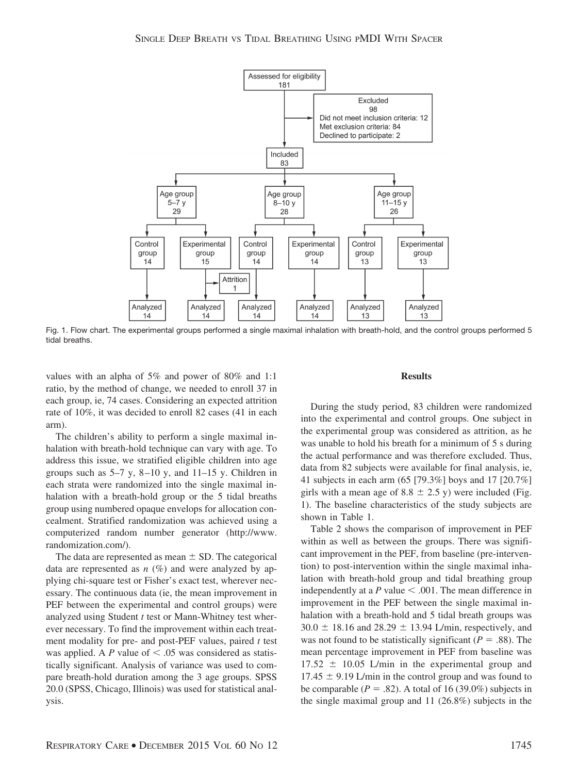

Fig. 1. Flow chart. The experimental groups performed a single maximal inhalation with breath-hold, and the control groups performed 5 tidal breaths.

values with an alpha of 5% and power of 80% and 1:1 ratio, by the method of change, we needed to enroll 37 in each group, ie, 74 cases. Considering an expected attrition rate of 10%, it was decided to enroll 82 cases (41 in each arm).

The children's ability to perform a single maximal inhalation with breath-hold technique can vary with age. To address this issue, we stratified eligible children into age groups such as  $5-7$  y,  $8-10$  y, and  $11-15$  y. Children in each strata were randomized into the single maximal inhalation with a breath-hold group or the 5 tidal breaths group using numbered opaque envelops for allocation concealment. Stratified randomization was achieved using a computerized random number generator (http://www. randomization.com/).

The data are represented as mean  $\pm$  SD. The categorical data are represented as  $n$  (%) and were analyzed by applying chi-square test or Fisher's exact test, wherever necessary. The continuous data (ie, the mean improvement in PEF between the experimental and control groups) were analyzed using Student *t* test or Mann-Whitney test wherever necessary. To find the improvement within each treatment modality for pre- and post-PEF values, paired *t* test was applied. A *P* value of  $\leq$  .05 was considered as statistically significant. Analysis of variance was used to compare breath-hold duration among the 3 age groups. SPSS 20.0 (SPSS, Chicago, Illinois) was used for statistical analysis.

#### **Results**

During the study period, 83 children were randomized into the experimental and control groups. One subject in the experimental group was considered as attrition, as he was unable to hold his breath for a minimum of 5 s during the actual performance and was therefore excluded. Thus, data from 82 subjects were available for final analysis, ie, 41 subjects in each arm (65 [79.3%] boys and 17 [20.7%] girls with a mean age of 8.8  $\pm$  2.5 y) were included (Fig. 1). The baseline characteristics of the study subjects are shown in Table 1.

Table 2 shows the comparison of improvement in PEF within as well as between the groups. There was significant improvement in the PEF, from baseline (pre-intervention) to post-intervention within the single maximal inhalation with breath-hold group and tidal breathing group independently at a  $P$  value  $\leq$  .001. The mean difference in improvement in the PEF between the single maximal inhalation with a breath-hold and 5 tidal breath groups was  $30.0 \pm 18.16$  and  $28.29 \pm 13.94$  L/min, respectively, and was not found to be statistically significant ( $P = .88$ ). The mean percentage improvement in PEF from baseline was  $17.52 \pm 10.05$  L/min in the experimental group and  $17.45 \pm 9.19$  L/min in the control group and was found to be comparable ( $P = .82$ ). A total of 16 (39.0%) subjects in the single maximal group and 11 (26.8%) subjects in the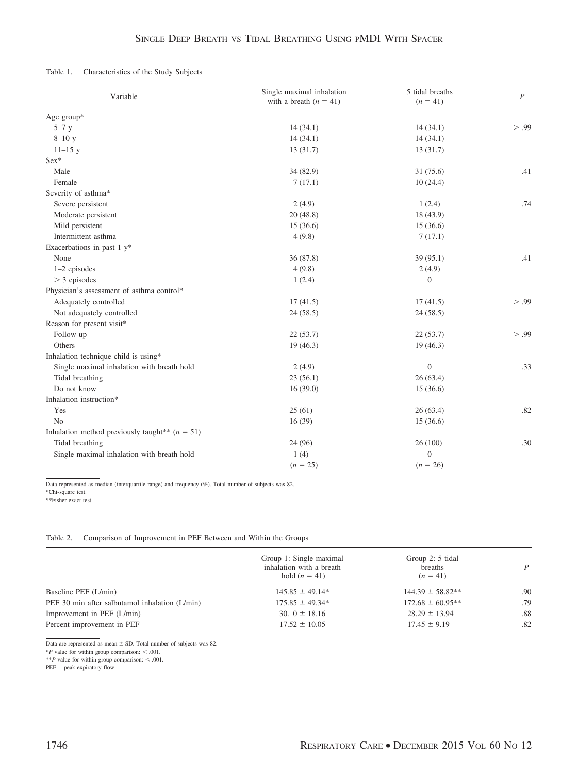| Table 1. | Characteristics of the Study Subjects |  |  |  |
|----------|---------------------------------------|--|--|--|
|----------|---------------------------------------|--|--|--|

| Variable                                                     | Single maximal inhalation<br>with a breath $(n = 41)$ | 5 tidal breaths<br>$(n = 41)$ | $\boldsymbol{P}$ |
|--------------------------------------------------------------|-------------------------------------------------------|-------------------------------|------------------|
| Age group*                                                   |                                                       |                               |                  |
| $5-7y$                                                       | 14(34.1)                                              | 14(34.1)                      | > .99            |
| $8 - 10y$                                                    | 14(34.1)                                              | 14(34.1)                      |                  |
| $11 - 15y$                                                   | 13(31.7)                                              | 13(31.7)                      |                  |
| $Sex*$                                                       |                                                       |                               |                  |
| Male                                                         | 34 (82.9)                                             | 31(75.6)                      | .41              |
| Female                                                       | 7(17.1)                                               | 10(24.4)                      |                  |
| Severity of asthma*                                          |                                                       |                               |                  |
| Severe persistent                                            | 2(4.9)                                                | 1(2.4)                        | .74              |
| Moderate persistent                                          | 20(48.8)                                              | 18 (43.9)                     |                  |
| Mild persistent                                              | 15(36.6)                                              | 15(36.6)                      |                  |
| Intermittent asthma                                          | 4(9.8)                                                | 7(17.1)                       |                  |
| Exacerbations in past $1 y^*$                                |                                                       |                               |                  |
| None                                                         | 36(87.8)                                              | 39(95.1)                      | .41              |
| 1-2 episodes                                                 | 4(9.8)                                                | 2(4.9)                        |                  |
| $>$ 3 episodes                                               | 1(2.4)                                                | $\overline{0}$                |                  |
| Physician's assessment of asthma control*                    |                                                       |                               |                  |
| Adequately controlled                                        | 17(41.5)                                              | 17(41.5)                      | > .99            |
| Not adequately controlled                                    | 24(58.5)                                              | 24(58.5)                      |                  |
| Reason for present visit*                                    |                                                       |                               |                  |
| Follow-up                                                    | 22(53.7)                                              | 22(53.7)                      | > .99            |
| Others                                                       | 19(46.3)                                              | 19(46.3)                      |                  |
| Inhalation technique child is using*                         |                                                       |                               |                  |
| Single maximal inhalation with breath hold                   | 2(4.9)                                                | $\overline{0}$                | .33              |
| Tidal breathing                                              | 23(56.1)                                              | 26(63.4)                      |                  |
| Do not know                                                  | 16(39.0)                                              | 15(36.6)                      |                  |
| Inhalation instruction*                                      |                                                       |                               |                  |
| Yes                                                          | 25(61)                                                | 26(63.4)                      | .82              |
| N <sub>o</sub>                                               | 16(39)                                                | 15(36.6)                      |                  |
| Inhalation method previously taught <sup>**</sup> $(n = 51)$ |                                                       |                               |                  |
| Tidal breathing                                              | 24 (96)                                               | 26(100)                       | .30              |
| Single maximal inhalation with breath hold                   | 1(4)                                                  | $\Omega$                      |                  |
|                                                              | $(n = 25)$                                            | $(n = 26)$                    |                  |
|                                                              |                                                       |                               |                  |

Data represented as median (interquartile range) and frequency (%). Total number of subjects was 82.

\*Chi-square test. \*\*Fisher exact test.

Table 2. Comparison of Improvement in PEF Between and Within the Groups

|                                                                         | Group 1: Single maximal<br>inhalation with a breath<br>hold $(n = 41)$ | Group 2: 5 tidal<br>breaths<br>$(n = 41)$ | P   |
|-------------------------------------------------------------------------|------------------------------------------------------------------------|-------------------------------------------|-----|
| Baseline PEF (L/min)                                                    | $145.85 \pm 49.14*$                                                    | $144.39 \pm 58.82**$                      | .90 |
| PEF 30 min after salbutamol inhalation (L/min)                          | $175.85 \pm 49.34*$                                                    | $172.68 \pm 60.95***$                     | .79 |
| Improvement in PEF (L/min)                                              | 30. $0 \pm 18.16$                                                      | $28.29 \pm 13.94$                         | .88 |
| Percent improvement in PEF                                              | $17.52 \pm 10.05$                                                      | $17.45 \pm 9.19$                          | .82 |
| Data are represented as mean $\pm$ SD. Total number of subjects was 82. |                                                                        |                                           |     |
| * <i>P</i> value for within group comparison: $\lt$ .001.               |                                                                        |                                           |     |
| ** <i>P</i> value for within group comparison: $\lt$ .001.              |                                                                        |                                           |     |

 $PEF = peak$  expiratory flow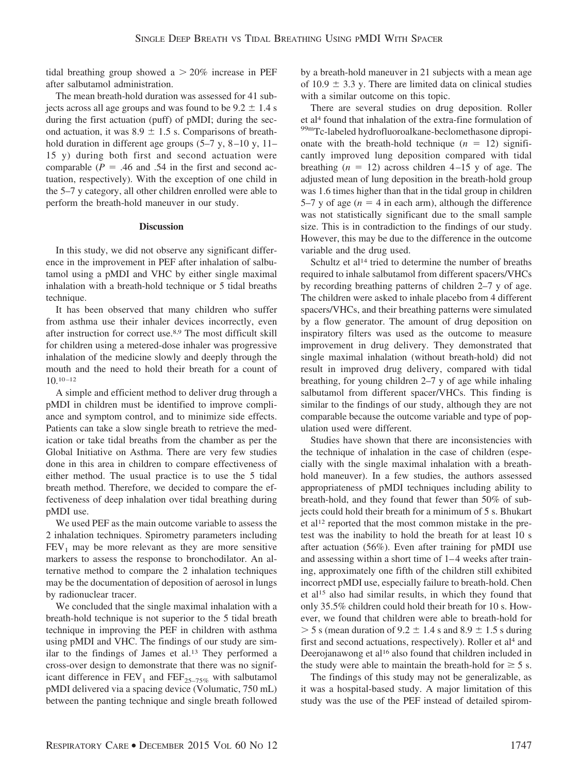tidal breathing group showed  $a > 20\%$  increase in PEF after salbutamol administration.

The mean breath-hold duration was assessed for 41 subjects across all age groups and was found to be  $9.2 \pm 1.4$  s during the first actuation (puff) of pMDI; during the second actuation, it was  $8.9 \pm 1.5$  s. Comparisons of breathhold duration in different age groups (5–7 y, 8–10 y, 11– 15 y) during both first and second actuation were comparable ( $P = .46$  and .54 in the first and second actuation, respectively). With the exception of one child in the 5–7 y category, all other children enrolled were able to perform the breath-hold maneuver in our study.

#### **Discussion**

In this study, we did not observe any significant difference in the improvement in PEF after inhalation of salbutamol using a pMDI and VHC by either single maximal inhalation with a breath-hold technique or 5 tidal breaths technique.

It has been observed that many children who suffer from asthma use their inhaler devices incorrectly, even after instruction for correct use.8,9 The most difficult skill for children using a metered-dose inhaler was progressive inhalation of the medicine slowly and deeply through the mouth and the need to hold their breath for a count of  $10.10 - 12$ 

A simple and efficient method to deliver drug through a pMDI in children must be identified to improve compliance and symptom control, and to minimize side effects. Patients can take a slow single breath to retrieve the medication or take tidal breaths from the chamber as per the Global Initiative on Asthma. There are very few studies done in this area in children to compare effectiveness of either method. The usual practice is to use the 5 tidal breath method. Therefore, we decided to compare the effectiveness of deep inhalation over tidal breathing during pMDI use.

We used PEF as the main outcome variable to assess the 2 inhalation techniques. Spirometry parameters including  $FEV<sub>1</sub>$  may be more relevant as they are more sensitive markers to assess the response to bronchodilator. An alternative method to compare the 2 inhalation techniques may be the documentation of deposition of aerosol in lungs by radionuclear tracer.

We concluded that the single maximal inhalation with a breath-hold technique is not superior to the 5 tidal breath technique in improving the PEF in children with asthma using pMDI and VHC. The findings of our study are similar to the findings of James et al.13 They performed a cross-over design to demonstrate that there was no significant difference in  $FEV_1$  and  $FEF_{25-75\%}$  with salbutamol pMDI delivered via a spacing device (Volumatic, 750 mL) between the panting technique and single breath followed by a breath-hold maneuver in 21 subjects with a mean age of 10.9  $\pm$  3.3 y. There are limited data on clinical studies with a similar outcome on this topic.

There are several studies on drug deposition. Roller et al4 found that inhalation of the extra-fine formulation of 99mTc-labeled hydrofluoroalkane-beclomethasone dipropionate with the breath-hold technique  $(n = 12)$  significantly improved lung deposition compared with tidal breathing  $(n = 12)$  across children  $4-15$  y of age. The adjusted mean of lung deposition in the breath-hold group was 1.6 times higher than that in the tidal group in children 5–7 y of age  $(n = 4$  in each arm), although the difference was not statistically significant due to the small sample size. This is in contradiction to the findings of our study. However, this may be due to the difference in the outcome variable and the drug used.

Schultz et al<sup>14</sup> tried to determine the number of breaths required to inhale salbutamol from different spacers/VHCs by recording breathing patterns of children 2–7 y of age. The children were asked to inhale placebo from 4 different spacers/VHCs, and their breathing patterns were simulated by a flow generator. The amount of drug deposition on inspiratory filters was used as the outcome to measure improvement in drug delivery. They demonstrated that single maximal inhalation (without breath-hold) did not result in improved drug delivery, compared with tidal breathing, for young children 2–7 y of age while inhaling salbutamol from different spacer/VHCs. This finding is similar to the findings of our study, although they are not comparable because the outcome variable and type of population used were different.

Studies have shown that there are inconsistencies with the technique of inhalation in the case of children (especially with the single maximal inhalation with a breathhold maneuver). In a few studies, the authors assessed appropriateness of pMDI techniques including ability to breath-hold, and they found that fewer than 50% of subjects could hold their breath for a minimum of 5 s. Bhukart et al12 reported that the most common mistake in the pretest was the inability to hold the breath for at least 10 s after actuation (56%). Even after training for pMDI use and assessing within a short time of 1– 4 weeks after training, approximately one fifth of the children still exhibited incorrect pMDI use, especially failure to breath-hold. Chen et al15 also had similar results, in which they found that only 35.5% children could hold their breath for 10 s. However, we found that children were able to breath-hold for  $>$  5 s (mean duration of 9.2  $\pm$  1.4 s and 8.9  $\pm$  1.5 s during first and second actuations, respectively). Roller et al<sup>4</sup> and Deerojanawong et al<sup>16</sup> also found that children included in the study were able to maintain the breath-hold for  $\geq 5$  s.

The findings of this study may not be generalizable, as it was a hospital-based study. A major limitation of this study was the use of the PEF instead of detailed spirom-